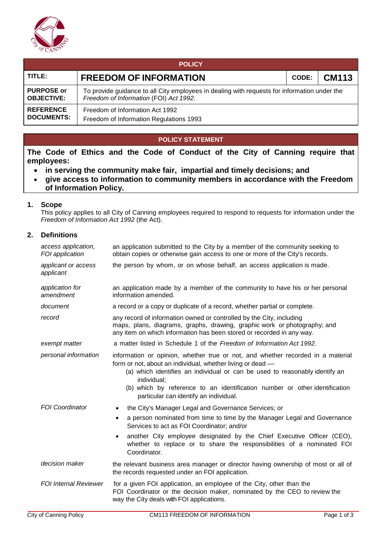

| <b>POLICY</b>                          |                                                                                                                                        |  |  |  |  |  |  |  |
|----------------------------------------|----------------------------------------------------------------------------------------------------------------------------------------|--|--|--|--|--|--|--|
| TITLE:                                 | <b>CM113</b><br><b>FREEDOM OF INFORMATION</b><br><b>CODE:</b>                                                                          |  |  |  |  |  |  |  |
| <b>PURPOSE or</b><br><b>OBJECTIVE:</b> | To provide guidance to all City employees in dealing with requests for information under the<br>Freedom of Information (FOI) Act 1992. |  |  |  |  |  |  |  |
| <b>REFERENCE</b><br><b>DOCUMENTS:</b>  | Freedom of Information Act 1992                                                                                                        |  |  |  |  |  |  |  |
|                                        | Freedom of Information Regulations 1993                                                                                                |  |  |  |  |  |  |  |

# **POLICY STATEMENT**

**The Code of Ethics and the Code of Conduct of the City of Canning require that employees:**

- **in serving the community make fair, impartial and timely decisions; and**
- **give access to information to community members in accordance with the Freedom of Information Policy.**

### **1. Scope**

This policy applies to all City of Canning employees required to respond to requests for information under the *Freedom of Information Act 1992* (the Act).

#### **2. Definitions**

| access application,<br>FOI application | an application submitted to the City by a member of the community seeking to<br>obtain copies or otherwise gain access to one or more of the City's records.                                                                                                                                                                                                         |  |  |  |  |
|----------------------------------------|----------------------------------------------------------------------------------------------------------------------------------------------------------------------------------------------------------------------------------------------------------------------------------------------------------------------------------------------------------------------|--|--|--|--|
| applicant or access<br>applicant       | the person by whom, or on whose behalf, an access application is made.                                                                                                                                                                                                                                                                                               |  |  |  |  |
| application for<br>amendment           | an application made by a member of the community to have his or her personal<br>information amended.                                                                                                                                                                                                                                                                 |  |  |  |  |
| document                               | a record or a copy or duplicate of a record, whether partial or complete.                                                                                                                                                                                                                                                                                            |  |  |  |  |
| record                                 | any record of information owned or controlled by the City, including<br>maps, plans, diagrams, graphs, drawing, graphic work or photography; and<br>any item on which information has been stored or recorded in any way.                                                                                                                                            |  |  |  |  |
| exempt matter                          | a matter listed in Schedule 1 of the Freedom of Information Act 1992.                                                                                                                                                                                                                                                                                                |  |  |  |  |
| personal information                   | information or opinion, whether true or not, and whether recorded in a material<br>form or not, about an individual, whether living or dead -<br>(a) which identifies an individual or can be used to reasonably identify an<br>individual;<br>(b) which by reference to an identification number or other identification<br>particular can identify an individual.  |  |  |  |  |
| <b>FOI Coordinator</b>                 | the City's Manager Legal and Governance Services; or<br>a person nominated from time to time by the Manager Legal and Governance<br>٠<br>Services to act as FOI Coordinator; and/or<br>another City employee designated by the Chief Executive Officer (CEO),<br>$\bullet$<br>whether to replace or to share the responsibilities of a nominated FOI<br>Coordinator. |  |  |  |  |
| decision maker                         | the relevant business area manager or director having ownership of most or all of<br>the records requested under an FOI application.                                                                                                                                                                                                                                 |  |  |  |  |
| <b>FOI Internal Reviewer</b>           | for a given FOI application, an employee of the City, other than the<br>FOI Coordinator or the decision maker, nominated by the CEO to review the<br>way the City deals with FOI applications.                                                                                                                                                                       |  |  |  |  |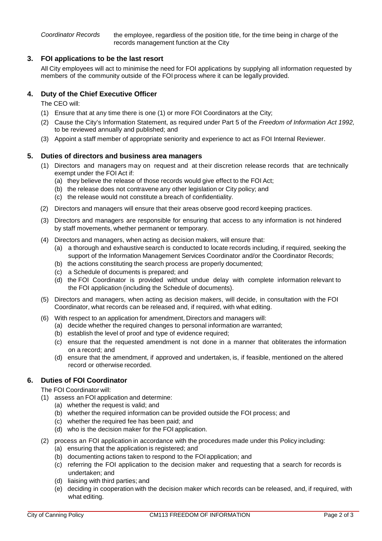*Coordinator Records* the employee, regardless of the position title, for the time being in charge of the records management function at the City

## **3. FOI applications to be the last resort**

All City employees will act to minimise the need for FOI applications by supplying all information requested by members of the community outside of the FOI process where it can be legally provided.

## **4. Duty of the Chief Executive Officer**

The CEO will:

- (1) Ensure that at any time there is one (1) or more FOI Coordinators at the City;
- (2) Cause the City's Information Statement, as required under Part 5 of the *Freedom of Information Act 1992,*  to be reviewed annually and published; and
- (3) Appoint a staff member of appropriate seniority and experience to act as FOI Internal Reviewer.

#### **5. Duties of directors and business area managers**

- (1) Directors and managers may on request and at their discretion release records that are technically exempt under the FOI Act if:
	- (a) they believe the release of those records would give effect to the FOI Act;
	- (b) the release does not contravene any other legislation or City policy; and
	- (c) the release would not constitute a breach of confidentiality.
- (2) Directors and managers will ensure that their areas observe good record keeping practices.
- (3) Directors and managers are responsible for ensuring that access to any information is not hindered by staff movements, whether permanent or temporary.
- (4) Directors and managers, when acting as decision makers, will ensure that:
	- (a) a thorough and exhaustive search is conducted to locate records including, if required*,* seeking the support of the Information Management Services Coordinator and/or the Coordinator Records;
	- (b) the actions constituting the search process are properly documented;
	- (c) a Schedule of documents is prepared; and
	- (d) the FOI Coordinator is provided without undue delay with complete information relevant to the FOI application (including the Schedule of documents).
- (5) Directors and managers, when acting as decision makers, will decide, in consultation with the FOI Coordinator, what records can be released and, if required, with what editing.
- (6) With respect to an application for amendment, Directors and managers will:
	- (a) decide whether the required changes to personal information are warranted;
	- (b) establish the level of proof and type of evidence required;
	- (c) ensure that the requested amendment is not done in a manner that obliterates the information on a record; and
	- (d) ensure that the amendment, if approved and undertaken, is, if feasible, mentioned on the altered record or otherwise recorded.

# **6. Duties of FOI Coordinator**

The FOI Coordinator will:

- (1) assess an FOI application and determine:
	- (a) whether the request is valid; and
	- (b) whether the required information can be provided outside the FOI process; and
	- (c) whether the required fee has been paid; and
	- (d) who is the decision maker for the FOI application.
- (2) process an FOI application in accordance with the procedures made under this Policy including: (a) ensuring that the application is registered; and
	- (b) documenting actions taken to respond to the FOI application; and
	- (c) referring the FOI application to the decision maker and requesting that a search for records is undertaken; and
	- (d) liaising with third parties; and
	- (e) deciding in cooperation with the decision maker which records can be released, and, if required, with what editing.